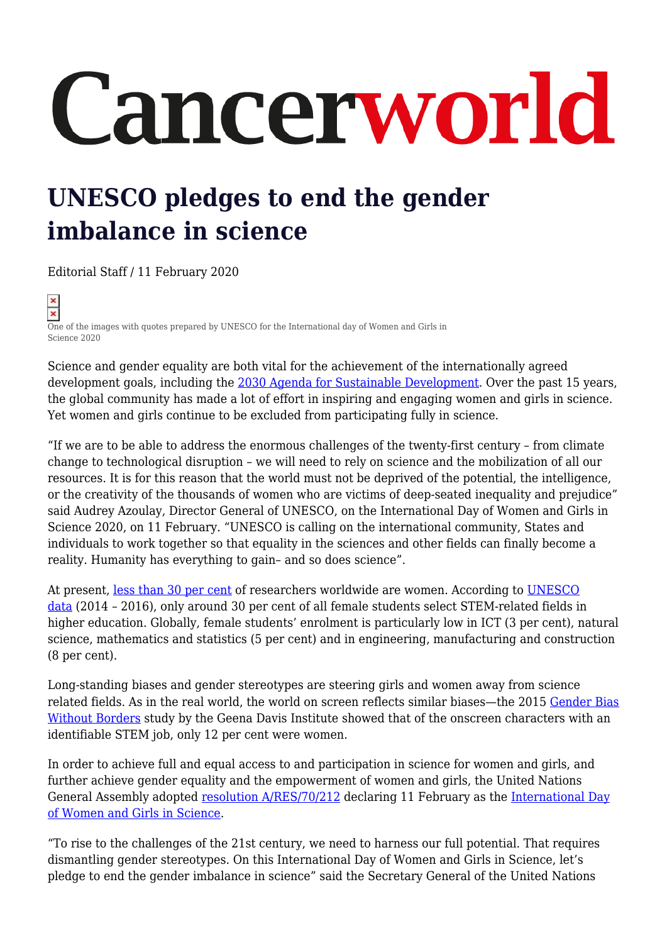## Cancerworld

## **UNESCO pledges to end the gender imbalance in science**

Editorial Staff / 11 February 2020

 $\overline{\mathbf{x}}$ One of the images with quotes prepared by UNESCO for the International day of Women and Girls in Science 2020

Science and gender equality are both vital for the achievement of the internationally agreed development goals, including the [2030 Agenda for Sustainable Development.](http://www.un.org/sustainabledevelopment/development-agenda/) Over the past 15 years, the global community has made a lot of effort in inspiring and engaging women and girls in science. Yet women and girls continue to be excluded from participating fully in science.

"If we are to be able to address the enormous challenges of the twenty-first century – from climate change to technological disruption – we will need to rely on science and the mobilization of all our resources. It is for this reason that the world must not be deprived of the potential, the intelligence, or the creativity of the thousands of women who are victims of deep-seated inequality and prejudice" said Audrey Azoulay, Director General of UNESCO, on the International Day of Women and Girls in Science 2020, on 11 February. "UNESCO is calling on the international community, States and individuals to work together so that equality in the sciences and other fields can finally become a reality. Humanity has everything to gain– and so does science".

At present, [less than 30 per cent](http://uis.unesco.org/en/topic/women-science) of researchers worldwide are women. According to [UNESCO](http://unesdoc.unesco.org/images/0025/002534/253479E.pdf) [data](http://unesdoc.unesco.org/images/0025/002534/253479E.pdf) (2014 – 2016), only around 30 per cent of all female students select STEM-related fields in higher education. Globally, female students' enrolment is particularly low in ICT (3 per cent), natural science, mathematics and statistics (5 per cent) and in engineering, manufacturing and construction (8 per cent).

Long-standing biases and gender stereotypes are steering girls and women away from science related fields. As in the real world, the world on screen reflects similar biases—the 2015 [Gender Bias](https://seejane.org/symposiums-on-gender-in-media/gender-bias-without-borders/) [Without Borders](https://seejane.org/symposiums-on-gender-in-media/gender-bias-without-borders/) study by the Geena Davis Institute showed that of the onscreen characters with an identifiable STEM job, only 12 per cent were women.

In order to achieve full and equal access to and participation in science for women and girls, and further achieve gender equality and the empowerment of women and girls, the United Nations General Assembly adopted [resolution A/RES/70/212](http://undocs.org/A/RES/70/212) declaring 11 February as the [International Day](https://en.unesco.org/commemorations/womenandgirlinscienceday) [of Women and Girls in Science.](https://en.unesco.org/commemorations/womenandgirlinscienceday)

"To rise to the challenges of the 21st century, we need to harness our full potential. That requires dismantling gender stereotypes. On this International Day of Women and Girls in Science, let's pledge to end the gender imbalance in science" said the Secretary General of the United Nations